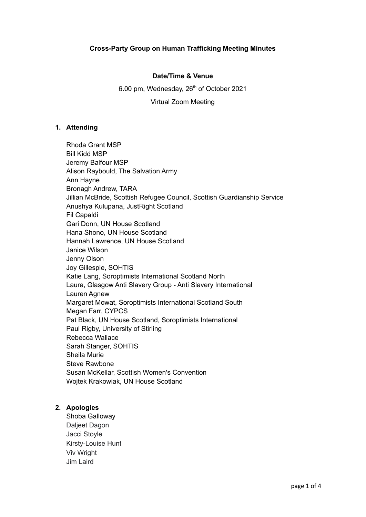### **Date/Time & Venue**

#### 6.00 pm, Wednesday, 26<sup>th</sup> of October 2021

Virtual Zoom Meeting

### **1. Attending**

Rhoda Grant MSP Bill Kidd MSP Jeremy Balfour MSP Alison Raybould, The Salvation Army Ann Hayne Bronagh Andrew, TARA Jillian McBride, Scottish Refugee Council, Scottish Guardianship Service Anushya Kulupana, JustRight Scotland Fil Capaldi Gari Donn, UN House Scotland Hana Shono, UN House Scotland Hannah Lawrence, UN House Scotland Janice Wilson Jenny Olson Joy Gillespie, SOHTIS Katie Lang, Soroptimists International Scotland North Laura, Glasgow Anti Slavery Group - Anti Slavery International Lauren Agnew Margaret Mowat, Soroptimists International Scotland South Megan Farr, CYPCS Pat Black, UN House Scotland, Soroptimists International Paul Rigby, University of Stirling Rebecca Wallace Sarah Stanger, SOHTIS Sheila Murie Steve Rawbone Susan McKellar, Scottish Women's Convention Wojtek Krakowiak, UN House Scotland

# **2. Apologies**

Shoba Galloway Daljeet Dagon Jacci Stoyle Kirsty-Louise Hunt Viv Wright Jim Laird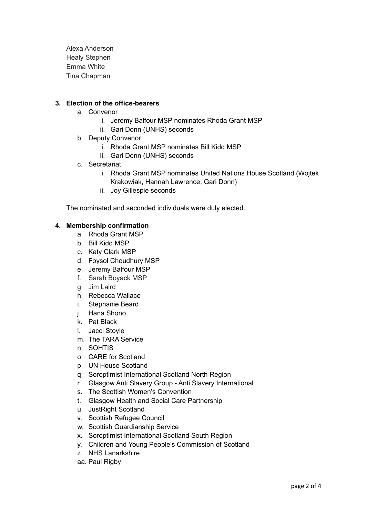Alexa Anderson Healy Stephen Emma White Tina Chapman

### **3. Election of the office-bearers**

- a. Convenor
	- i. Jeremy Balfour MSP nominates Rhoda Grant MSP
	- ii. Gari Donn (UNHS) seconds
- b. Deputy Convenor
	- i. Rhoda Grant MSP nominates Bill Kidd MSP
	- ii. Gari Donn (UNHS) seconds
- c. Secretariat
	- i. Rhoda Grant MSP nominates United Nations House Scotland (Wojtek Krakowiak, Hannah Lawrence, Gari Donn)
	- ii. Joy Gillespie seconds

The nominated and seconded individuals were duly elected.

#### **4. Membership confirmation**

- a. Rhoda Grant MSP
- b. Bill Kidd MSP
- c. Katy Clark MSP
- d. Foysol Choudhury MSP
- e. Jeremy Balfour MSP
- f. Sarah Boyack MSP
- g. Jim Laird
- h. Rebecca Wallace
- i. Stephanie Beard
- j. Hana Shono
- k. Pat Black
- l. Jacci Stoyle
- m. The TARA Service
- n. SOHTIS
- o. CARE for Scotland
- p. UN House Scotland
- q. Soroptimist International Scotland North Region
- r. Glasgow Anti Slavery Group Anti Slavery International
- s. The Scottish Women's Convention
- t. Glasgow Health and Social Care Partnership
- u. JustRight Scotland
- v. Scottish Refugee Council
- w. Scottish Guardianship Service
- x. Soroptimist International Scotland South Region
- y. Children and Young People's Commission of Scotland
- z. NHS Lanarkshire
- aa. Paul Rigby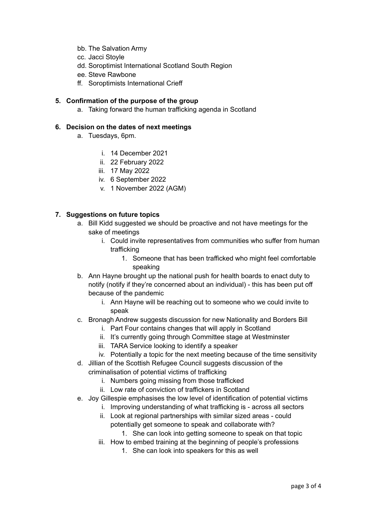- bb. The Salvation Army
- cc. Jacci Stoyle
- dd. Soroptimist International Scotland South Region
- ee. Steve Rawbone
- ff. Soroptimists International Crieff

# **5. Confirmation of the purpose of the group**

a. Taking forward the human trafficking agenda in Scotland

#### **6. Decision on the dates of next meetings**

- a. Tuesdays, 6pm.
	- i. 14 December 2021
	- ii. 22 February 2022
	- iii. 17 May 2022
	- iv. 6 September 2022
	- v. 1 November 2022 (AGM)

# **7. Suggestions on future topics**

- a. Bill Kidd suggested we should be proactive and not have meetings for the sake of meetings
	- i. Could invite representatives from communities who suffer from human trafficking
		- 1. Someone that has been trafficked who might feel comfortable speaking
- b. Ann Hayne brought up the national push for health boards to enact duty to notify (notify if they're concerned about an individual) - this has been put off because of the pandemic
	- i. Ann Hayne will be reaching out to someone who we could invite to speak
- c. Bronagh Andrew suggests discussion for new Nationality and Borders Bill
	- i. Part Four contains changes that will apply in Scotland
	- ii. It's currently going through Committee stage at Westminster
	- iii. TARA Service looking to identify a speaker
	- iv. Potentially a topic for the next meeting because of the time sensitivity
- d. Jillian of the Scottish Refugee Council suggests discussion of the criminalisation of potential victims of trafficking
	- i. Numbers going missing from those trafficked
	- ii. Low rate of conviction of traffickers in Scotland
- e. Joy Gillespie emphasises the low level of identification of potential victims
	- i. Improving understanding of what trafficking is across all sectors
	- ii. Look at regional partnerships with similar sized areas could potentially get someone to speak and collaborate with?
		- 1. She can look into getting someone to speak on that topic
	- iii. How to embed training at the beginning of people's professions
		- 1. She can look into speakers for this as well